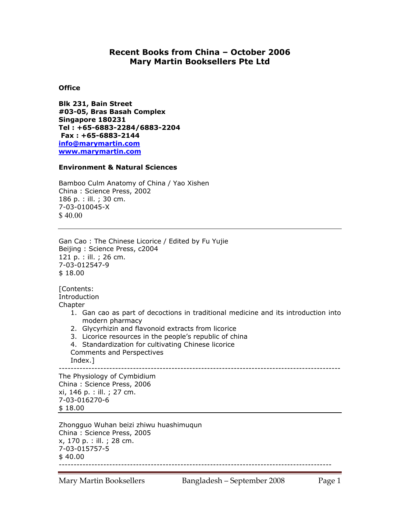# **Recent Books from China – October 2006 Mary Martin Booksellers Pte Ltd**

## **Office**

**Blk 231, Bain Street #03-05, Bras Basah Complex Singapore 180231 Tel : +65-6883-2284/6883-2204 Fax : +65-6883-2144 info@marymartin.com www.marymartin.com**

### **Environment & Natural Sciences**

Bamboo Culm Anatomy of China / Yao Xishen China : Science Press, 2002 186 p. : ill. ; 30 cm. 7-03-010045-X \$ 40.00

Gan Cao : The Chinese Licorice / Edited by Fu Yujie Beijing : Science Press, c2004 121 p. : ill. ; 26 cm. 7-03-012547-9 \$ 18.00

[Contents: **Introduction** Chapter

- 1. Gan cao as part of decoctions in traditional medicine and its introduction into modern pharmacy
- 2. Glycyrhizin and flavonoid extracts from licorice
- 3. Licorice resources in the people's republic of china
- 4. Standardization for cultivating Chinese licorice Comments and Perspectives

Index.]

-----------------------------------------------------------------------------------------------

The Physiology of Cymbidium China : Science Press, 2006 xi, 146 p. : ill. ; 27 cm. 7-03-016270-6 \$ 18.00

Zhongguo Wuhan beizi zhiwu huashimuqun China : Science Press, 2005 x, 170 p. : ill. ; 28 cm. 7-03-015757-5 \$ 40.00 --------------------------------------------------------------------------------------------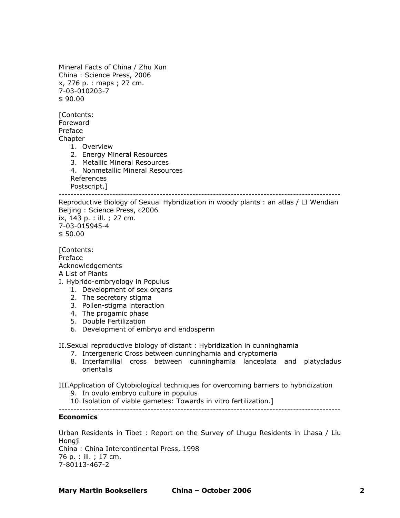Mineral Facts of China / Zhu Xun China : Science Press, 2006 x, 776 p. : maps ; 27 cm. 7-03-010203-7 \$ 90.00

[Contents: Foreword Preface **Chapter** 

- 1. Overview
- 2. Energy Mineral Resources
- 3. Metallic Mineral Resources
- 4. Nonmetallic Mineral Resources References

Postscript.]

----------------------------------------------------------------------------------------------- Reproductive Biology of Sexual Hybridization in woody plants : an atlas / LI Wendian

Beijing : Science Press, c2006 ix, 143 p. : ill. ; 27 cm. 7-03-015945-4

\$ 50.00

[Contents: Preface Acknowledgements A List of Plants

- I. Hybrido-embryology in Populus
	- 1. Development of sex organs
	- 2. The secretory stigma
	- 3. Pollen-stigma interaction
	- 4. The progamic phase
	- 5. Double Fertilization
	- 6. Development of embryo and endosperm

II.Sexual reproductive biology of distant : Hybridization in cunninghamia

- 7. Intergeneric Cross between cunninghamia and cryptomeria
- 8. Interfamilial cross between cunninghamia lanceolata and platycladus orientalis

III.Application of Cytobiological techniques for overcoming barriers to hybridization

- 9. In ovulo embryo culture in populus
- 10. Isolation of viable gametes: Towards in vitro fertilization.] -----------------------------------------------------------------------------------------------

### **Economics**

Urban Residents in Tibet : Report on the Survey of Lhugu Residents in Lhasa / Liu Hongii

China : China Intercontinental Press, 1998 76 p. : ill. ; 17 cm. 7-80113-467-2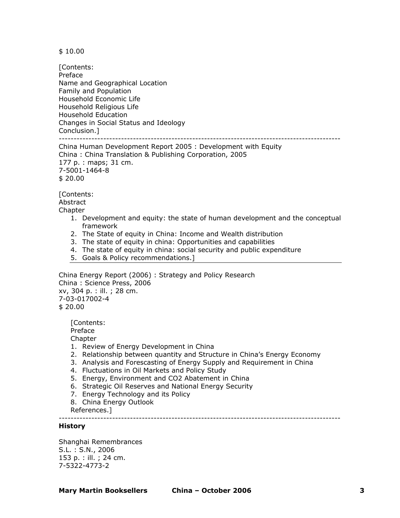\$ 10.00

[Contents: Preface Name and Geographical Location Family and Population Household Economic Life Household Religious Life Household Education Changes in Social Status and Ideology Conclusion.] -----------------------------------------------------------------------------------------------

China Human Development Report 2005 : Development with Equity China : China Translation & Publishing Corporation, 2005 177 p. : maps; 31 cm. 7-5001-1464-8 \$ 20.00

[Contents:

Abstract **Chapter** 

- 1. Development and equity: the state of human development and the conceptual framework
- 2. The State of equity in China: Income and Wealth distribution
- 3. The state of equity in china: Opportunities and capabilities
- 4. The state of equity in china: social security and public expenditure
- 5. Goals & Policy recommendations.]

China Energy Report (2006) : Strategy and Policy Research China : Science Press, 2006 xv, 304 p. : ill. ; 28 cm. 7-03-017002-4 \$ 20.00

[Contents: Preface **Chapter** 

- 1. Review of Energy Development in China
- 2. Relationship between quantity and Structure in China's Energy Economy
- 3. Analysis and Forescasting of Energy Supply and Requirement in China
- 4. Fluctuations in Oil Markets and Policy Study
- 5. Energy, Environment and CO2 Abatement in China
- 6. Strategic Oil Reserves and National Energy Security
- 7. Energy Technology and its Policy
- 8. China Energy Outlook

References.]

-----------------------------------------------------------------------------------------------

### **History**

Shanghai Remembrances S.L. : S.N., 2006 153 p. : ill. ; 24 cm. 7-5322-4773-2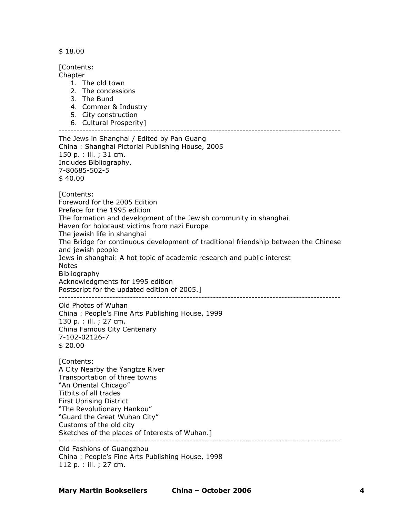\$ 18.00

[Contents:

**Chapter** 

- 1. The old town
- 2. The concessions
- 3. The Bund
- 4. Commer & Industry
- 5. City construction
- 6. Cultural Prosperity]

-----------------------------------------------------------------------------------------------

The Jews in Shanghai / Edited by Pan Guang China : Shanghai Pictorial Publishing House, 2005 150 p. : ill. ; 31 cm. Includes Bibliography. 7-80685-502-5 \$ 40.00 [Contents: Foreword for the 2005 Edition Preface for the 1995 edition The formation and development of the Jewish community in shanghai Haven for holocaust victims from nazi Europe The jewish life in shanghai The Bridge for continuous development of traditional friendship between the Chinese and jewish people Jews in shanghai: A hot topic of academic research and public interest **Notes** Bibliography Acknowledgments for 1995 edition Postscript for the updated edition of 2005.] ----------------------------------------------------------------------------------------------- Old Photos of Wuhan China : People's Fine Arts Publishing House, 1999 130 p. : ill. ; 27 cm. China Famous City Centenary 7-102-02126-7 \$ 20.00 [Contents: A City Nearby the Yangtze River Transportation of three towns "An Oriental Chicago" Titbits of all trades First Uprising District "The Revolutionary Hankou" "Guard the Great Wuhan City" Customs of the old city Sketches of the places of Interests of Wuhan.] ----------------------------------------------------------------------------------------------- Old Fashions of Guangzhou

China : People's Fine Arts Publishing House, 1998 112 p. : ill. ; 27 cm.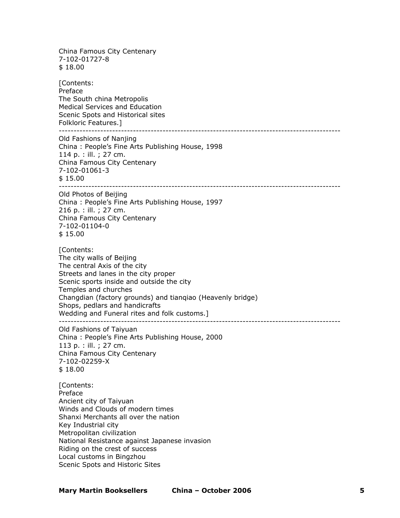China Famous City Centenary 7-102-01727-8 \$ 18.00 [Contents: Preface The South china Metropolis Medical Services and Education Scenic Spots and Historical sites Folkloric Features.] ----------------------------------------------------------------------------------------------- Old Fashions of Nanjing China : People's Fine Arts Publishing House, 1998 114 p. : ill. ; 27 cm. China Famous City Centenary 7-102-01061-3 \$ 15.00 ----------------------------------------------------------------------------------------------- Old Photos of Beijing China : People's Fine Arts Publishing House, 1997 216 p. : ill. ; 27 cm. China Famous City Centenary 7-102-01104-0 \$ 15.00 [Contents: The city walls of Beijing The central Axis of the city Streets and lanes in the city proper Scenic sports inside and outside the city Temples and churches Changdian (factory grounds) and tianqiao (Heavenly bridge) Shops, pedlars and handicrafts Wedding and Funeral rites and folk customs.] ----------------------------------------------------------------------------------------------- Old Fashions of Taiyuan China : People's Fine Arts Publishing House, 2000 113 p. : ill. ; 27 cm. China Famous City Centenary 7-102-02259-X \$ 18.00 [Contents: Preface Ancient city of Taiyuan Winds and Clouds of modern times Shanxi Merchants all over the nation Key Industrial city Metropolitan civilization National Resistance against Japanese invasion Riding on the crest of success Local customs in Bingzhou Scenic Spots and Historic Sites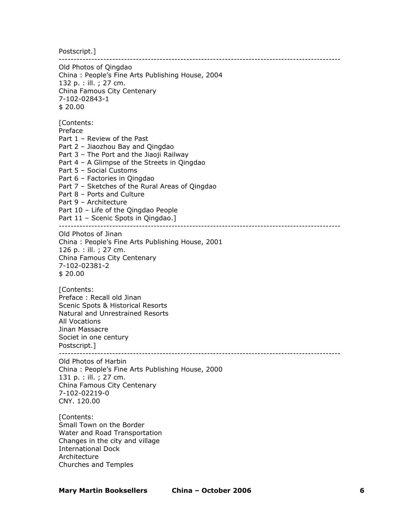Postscript.]

----------------------------------------------------------------------------------------------- Old Photos of Qingdao China : People's Fine Arts Publishing House, 2004 132 p. : ill. ; 27 cm. China Famous City Centenary 7-102-02843-1 \$ 20.00 [Contents: Preface Part 1 – Review of the Past Part 2 – Jiaozhou Bay and Qingdao Part 3 – The Port and the Jiaoji Railway Part 4 – A Glimpse of the Streets in Qingdao Part 5 – Social Customs Part 6 – Factories in Qingdao Part 7 – Sketches of the Rural Areas of Qingdao Part 8 – Ports and Culture Part 9 – Architecture Part 10 – Life of the Qingdao People Part 11 - Scenic Spots in Qingdao.] ----------------------------------------------------------------------------------------------- Old Photos of Jinan China : People's Fine Arts Publishing House, 2001 126 p. : ill. ; 27 cm. China Famous City Centenary 7-102-02381-2 \$ 20.00 [Contents: Preface : Recall old Jinan Scenic Spots & Historical Resorts Natural and Unrestrained Resorts All Vocations Jinan Massacre Societ in one century Postscript.] ----------------------------------------------------------------------------------------------- Old Photos of Harbin China : People's Fine Arts Publishing House, 2000 131 p. : ill. ; 27 cm. China Famous City Centenary 7-102-02219-0 CNY. 120.00 [Contents: Small Town on the Border Water and Road Transportation Changes in the city and village International Dock Architecture

Churches and Temples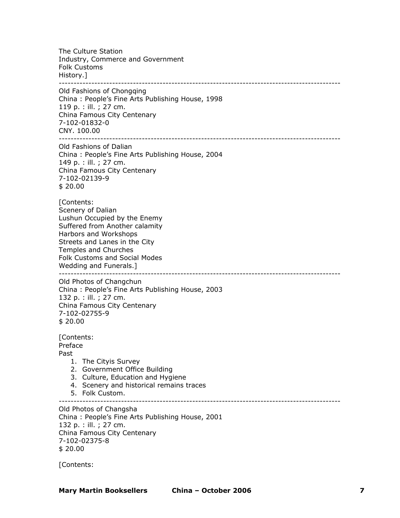The Culture Station Industry, Commerce and Government Folk Customs History.] -----------------------------------------------------------------------------------------------

Old Fashions of Chongqing China : People's Fine Arts Publishing House, 1998 119 p. : ill. ; 27 cm. China Famous City Centenary 7-102-01832-0 CNY. 100.00 -----------------------------------------------------------------------------------------------

Old Fashions of Dalian China : People's Fine Arts Publishing House, 2004 149 p. : ill. ; 27 cm. China Famous City Centenary 7-102-02139-9 \$ 20.00

[Contents: Scenery of Dalian Lushun Occupied by the Enemy Suffered from Another calamity Harbors and Workshops Streets and Lanes in the City Temples and Churches Folk Customs and Social Modes Wedding and Funerals.]<br>---------------------------------------------------------------------------------------------------------------------------

Old Photos of Changchun China : People's Fine Arts Publishing House, 2003 132 p. : ill. ; 27 cm. China Famous City Centenary 7-102-02755-9 \$ 20.00

[Contents: Preface Past

- 1. The Cityis Survey
- 2. Government Office Building
- 3. Culture, Education and Hygiene
- 4. Scenery and historical remains traces
- 5. Folk Custom.

-----------------------------------------------------------------------------------------------

Old Photos of Changsha China : People's Fine Arts Publishing House, 2001 132 p. : ill. ; 27 cm. China Famous City Centenary 7-102-02375-8 \$ 20.00

[Contents: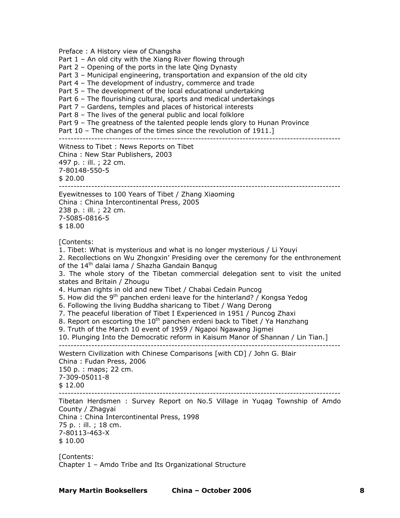Preface : A History view of Changsha Part 1 – An old city with the Xiang River flowing through Part 2 – Opening of the ports in the late Qing Dynasty Part 3 – Municipal engineering, transportation and expansion of the old city Part 4 – The development of industry, commerce and trade Part 5 – The development of the local educational undertaking Part 6 – The flourishing cultural, sports and medical undertakings Part 7 – Gardens, temples and places of historical interests Part 8 – The lives of the general public and local folklore Part 9 – The greatness of the talented people lends glory to Hunan Province Part 10 – The changes of the times since the revolution of 1911. ----------------------------------------------------------------------------------------------- Witness to Tibet : News Reports on Tibet China : New Star Publishers, 2003 497 p. : ill. ; 22 cm. 7-80148-550-5 \$ 20.00 ----------------------------------------------------------------------------------------------- Eyewitnesses to 100 Years of Tibet / Zhang Xiaoming China : China Intercontinental Press, 2005 238 p. : ill. ; 22 cm. 7-5085-0816-5 \$ 18.00 [Contents: 1. Tibet: What is mysterious and what is no longer mysterious / Li Youyi 2. Recollections on Wu Zhongxin' Presiding over the ceremony for the enthronement of the 14<sup>th</sup> dalai lama / Shazha Gandain Bangug 3. The whole story of the Tibetan commercial delegation sent to visit the united states and Britain / Zhougu 4. Human rights in old and new Tibet / Chabai Cedain Puncog 5. How did the 9<sup>th</sup> panchen erdeni leave for the hinterland? / Kongsa Yedog 6. Following the living Buddha sharicang to Tibet / Wang Derong 7. The peaceful liberation of Tibet I Experienced in 1951 / Puncog Zhaxi 8. Report on escorting the 10<sup>th</sup> panchen erdeni back to Tibet / Ya Hanzhang 9. Truth of the March 10 event of 1959 / Ngapoi Ngawang Jigmei 10. Plunging Into the Democratic reform in Kaisum Manor of Shannan / Lin Tian.] ----------------------------------------------------------------------------------------------- Western Civilization with Chinese Comparisons [with CD] / John G. Blair China : Fudan Press, 2006 150 p. : maps; 22 cm. 7-309-05011-8 \$ 12.00 ----------------------------------------------------------------------------------------------- Tibetan Herdsmen : Survey Report on No.5 Village in Yuqag Township of Amdo County / Zhagyai China : China Intercontinental Press, 1998 75 p. : ill. ; 18 cm. 7-80113-463-X \$ 10.00 [Contents: Chapter 1 – Amdo Tribe and Its Organizational Structure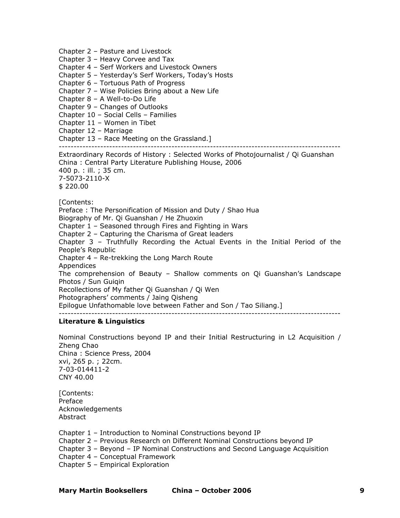Chapter 2 – Pasture and Livestock

Chapter 3 – Heavy Corvee and Tax

Chapter 4 – Serf Workers and Livestock Owners

Chapter 5 – Yesterday's Serf Workers, Today's Hosts

Chapter 6 – Tortuous Path of Progress

Chapter 7 – Wise Policies Bring about a New Life

Chapter 8 – A Well-to-Do Life

Chapter 9 – Changes of Outlooks

Chapter 10 – Social Cells – Families

Chapter 11 – Women in Tibet

Chapter 12 – Marriage

Chapter 13 – Race Meeting on the Grassland.]

-----------------------------------------------------------------------------------------------

Extraordinary Records of History : Selected Works of Photojournalist / Qi Guanshan China : Central Party Literature Publishing House, 2006 400 p. : ill. ; 35 cm. 7-5073-2110-X \$ 220.00

[Contents:

Preface : The Personification of Mission and Duty / Shao Hua

Biography of Mr. Qi Guanshan / He Zhuoxin

Chapter 1 – Seasoned through Fires and Fighting in Wars

Chapter 2 – Capturing the Charisma of Great leaders

Chapter 3 – Truthfully Recording the Actual Events in the Initial Period of the People's Republic

Chapter 4 – Re-trekking the Long March Route

Appendices

The comprehension of Beauty – Shallow comments on Qi Guanshan's Landscape Photos / Sun Guiqin

Recollections of My father Qi Guanshan / Qi Wen

Photographers' comments / Jaing Qisheng

Epilogue Unfathomable love between Father and Son / Tao Siliang.]

-----------------------------------------------------------------------------------------------

#### **Literature & Linguistics**

Nominal Constructions beyond IP and their Initial Restructuring in L2 Acquisition / Zheng Chao China : Science Press, 2004 xvi, 265 p. ; 22cm. 7-03-014411-2 CNY 40.00

[Contents: Preface Acknowledgements **Abstract** 

Chapter 1 – Introduction to Nominal Constructions beyond IP

Chapter 2 – Previous Research on Different Nominal Constructions beyond IP

Chapter 3 – Beyond – IP Nominal Constructions and Second Language Acquisition

Chapter 4 – Conceptual Framework

Chapter 5 – Empirical Exploration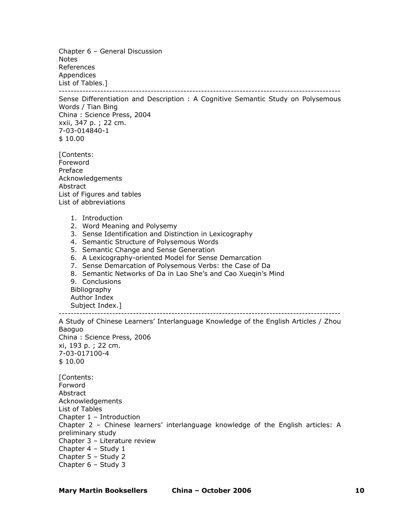Chapter 6 – General Discussion Notes References Appendices List of Tables.]

-----------------------------------------------------------------------------------------------

Sense Differentiation and Description : A Cognitive Semantic Study on Polysemous Words / Tian Bing China : Science Press, 2004 xxii, 347 p. ; 22 cm. 7-03-014840-1 \$ 10.00

[Contents: Foreword Preface Acknowledgements Abstract List of Figures and tables List of abbreviations

- 1. Introduction
- 2. Word Meaning and Polysemy
- 3. Sense Identification and Distinction in Lexicography
- 4. Semantic Structure of Polysemous Words
- 5. Semantic Change and Sense Generation
- 6. A Lexicography-oriented Model for Sense Demarcation
- 7. Sense Demarcation of Polysemous Verbs: the Case of Da
- 8. Semantic Networks of Da in Lao She's and Cao Xueqin's Mind

9. Conclusions Bibliography Author Index Subject Index.]

-----------------------------------------------------------------------------------------------

A Study of Chinese Learners' Interlanguage Knowledge of the English Articles / Zhou Baoguo China : Science Press, 2006 xi, 193 p. ; 22 cm. 7-03-017100-4  $$10.00$ [Contents: Forword Abstract Acknowledgements List of Tables Chapter 1 – Introduction Chapter 2 – Chinese learners' interlanguage knowledge of the English articles: A preliminary study Chapter 3 – Literature review Chapter 4 – Study 1 Chapter 5 – Study 2 Chapter 6 – Study 3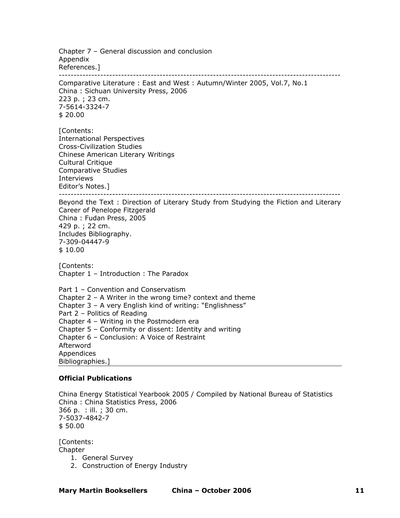Chapter 7 – General discussion and conclusion Appendix References.] -----------------------------------------------------------------------------------------------

Comparative Literature : East and West : Autumn/Winter 2005, Vol.7, No.1 China : Sichuan University Press, 2006 223 p. ; 23 cm. 7-5614-3324-7 \$ 20.00

[Contents: International Perspectives Cross-Civilization Studies Chinese American Literary Writings Cultural Critique Comparative Studies Interviews Editor's Notes.]

-----------------------------------------------------------------------------------------------

Beyond the Text : Direction of Literary Study from Studying the Fiction and Literary Career of Penelope Fitzgerald China : Fudan Press, 2005 429 p. ; 22 cm. Includes Bibliography. 7-309-04447-9 \$ 10.00

[Contents: Chapter 1 – Introduction : The Paradox

Part 1 – Convention and Conservatism Chapter 2 – A Writer in the wrong time? context and theme Chapter 3 – A very English kind of writing: "Englishness" Part 2 – Politics of Reading Chapter 4 – Writing in the Postmodern era Chapter 5 – Conformity or dissent: Identity and writing Chapter 6 – Conclusion: A Voice of Restraint Afterword Appendices Bibliographies.]

### **Official Publications**

China Energy Statistical Yearbook 2005 / Compiled by National Bureau of Statistics China : China Statistics Press, 2006 366 p. : ill. ; 30 cm. 7-5037-4842-7 \$ 50.00

[Contents: Chapter

- 1. General Survey
- 2. Construction of Energy Industry